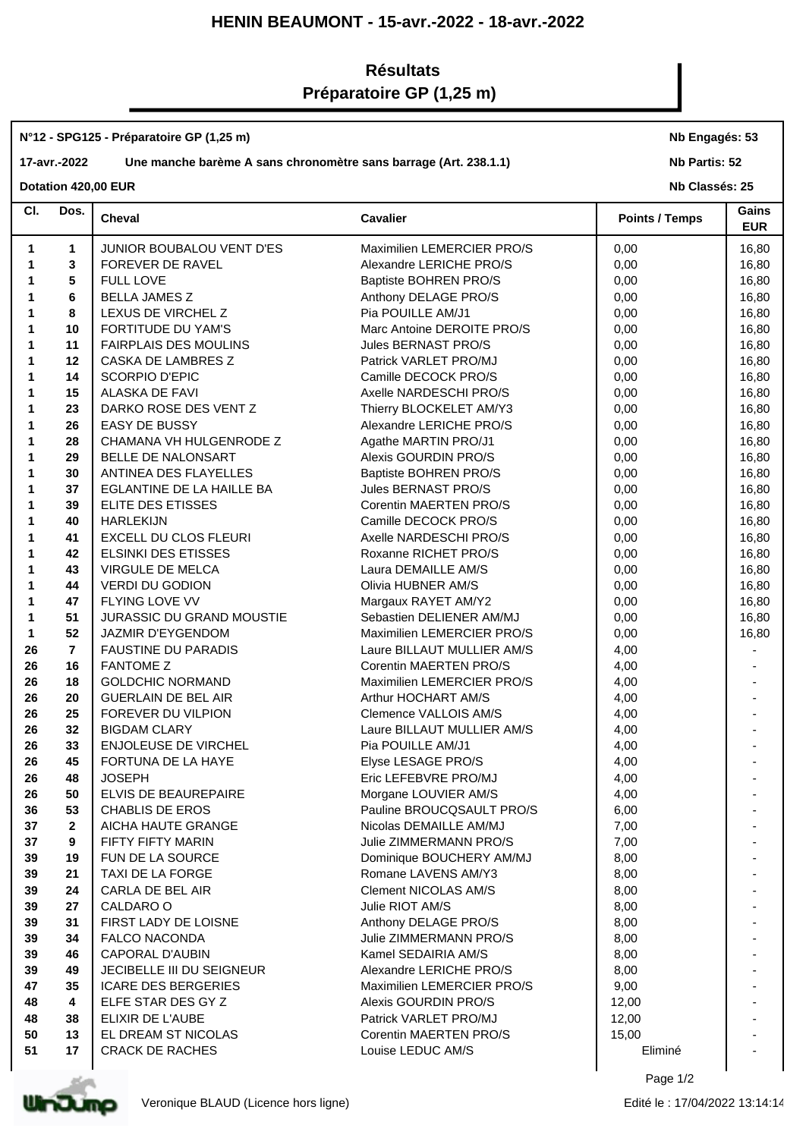## **HENIN BEAUMONT - 15-avr.-2022 - 18-avr.-2022**

## **Résultats Préparatoire GP (1,25 m)**

## **N°12 - SPG125 - Préparatoire GP (1,25 m)**

## **17-avr.-2022 Une manche barème A sans chronomètre sans barrage (Art. 238.1.1)**

**Nb Engagés: 53**

**Nb Partis: 52**

**Dotation 420,00 EUR** 

| CI. | Dos.           | Cheval                       | <b>Cavalier</b>              | <b>Points / Temps</b> | Gains<br><b>EUR</b> |
|-----|----------------|------------------------------|------------------------------|-----------------------|---------------------|
| 1   | 1              | JUNIOR BOUBALOU VENT D'ES    | Maximilien LEMERCIER PRO/S   | 0,00                  | 16,80               |
| 1   | 3              | FOREVER DE RAVEL             | Alexandre LERICHE PRO/S      | 0,00                  | 16,80               |
| 1   | $5\phantom{1}$ | <b>FULL LOVE</b>             | <b>Baptiste BOHREN PRO/S</b> | 0,00                  | 16,80               |
| 1   | 6              | <b>BELLA JAMES Z</b>         | Anthony DELAGE PRO/S         | 0,00                  | 16,80               |
| 1   | 8              | LEXUS DE VIRCHEL Z           | Pia POUILLE AM/J1            | 0,00                  | 16,80               |
| 1   | 10             | FORTITUDE DU YAM'S           | Marc Antoine DEROITE PRO/S   | 0,00                  | 16,80               |
| 1   | 11             | <b>FAIRPLAIS DES MOULINS</b> | Jules BERNAST PRO/S          | 0,00                  | 16,80               |
| 1   | 12             | CASKA DE LAMBRES Z           | Patrick VARLET PRO/MJ        | 0,00                  | 16,80               |
| 1   | 14             | <b>SCORPIO D'EPIC</b>        | Camille DECOCK PRO/S         | 0,00                  | 16,80               |
|     | 15             | ALASKA DE FAVI               | Axelle NARDESCHI PRO/S       | 0,00                  | 16,80               |
|     | 23             | DARKO ROSE DES VENT Z        | Thierry BLOCKELET AM/Y3      | 0,00                  | 16,80               |
|     | 26             | <b>EASY DE BUSSY</b>         | Alexandre LERICHE PRO/S      | 0,00                  | 16,80               |
| 1   | 28             | CHAMANA VH HULGENRODE Z      | Agathe MARTIN PRO/J1         | 0,00                  | 16,80               |
| 1   | 29             | BELLE DE NALONSART           | Alexis GOURDIN PRO/S         | 0,00                  | 16,80               |
|     | 30             | ANTINEA DES FLAYELLES        | Baptiste BOHREN PRO/S        | 0,00                  | 16,80               |
|     | 37             | EGLANTINE DE LA HAILLE BA    | Jules BERNAST PRO/S          | 0,00                  | 16,80               |
|     | 39             | ELITE DES ETISSES            | Corentin MAERTEN PRO/S       | 0,00                  | 16,80               |
|     | 40             | <b>HARLEKIJN</b>             | Camille DECOCK PRO/S         | 0,00                  | 16,80               |
|     | 41             | EXCELL DU CLOS FLEURI        | Axelle NARDESCHI PRO/S       | 0,00                  | 16,80               |
|     | 42             | <b>ELSINKI DES ETISSES</b>   | Roxanne RICHET PRO/S         | 0,00                  | 16,80               |
|     | 43             | VIRGULE DE MELCA             | Laura DEMAILLE AM/S          | 0,00                  | 16,80               |
|     | 44             | <b>VERDI DU GODION</b>       | Olivia HUBNER AM/S           | 0,00                  | 16,80               |
| 1   | 47             | <b>FLYING LOVE VV</b>        | Margaux RAYET AM/Y2          | 0,00                  | 16,80               |
| 1   | 51             | JURASSIC DU GRAND MOUSTIE    | Sebastien DELIENER AM/MJ     | 0,00                  | 16,80               |
| 1   | 52             | JAZMIR D'EYGENDOM            | Maximilien LEMERCIER PRO/S   | 0,00                  | 16,80               |
| 26  | $\overline{7}$ | <b>FAUSTINE DU PARADIS</b>   | Laure BILLAUT MULLIER AM/S   | 4,00                  |                     |
| 26  | 16             | <b>FANTOME Z</b>             | Corentin MAERTEN PRO/S       | 4,00                  |                     |
| 26  | 18             | <b>GOLDCHIC NORMAND</b>      | Maximilien LEMERCIER PRO/S   | 4,00                  |                     |
| 26  | 20             | <b>GUERLAIN DE BEL AIR</b>   | Arthur HOCHART AM/S          | 4,00                  |                     |
| 26  | 25             | FOREVER DU VILPION           | Clemence VALLOIS AM/S        | 4,00                  |                     |
| 26  | 32             | <b>BIGDAM CLARY</b>          | Laure BILLAUT MULLIER AM/S   | 4,00                  |                     |
| 26  | 33             | <b>ENJOLEUSE DE VIRCHEL</b>  | Pia POUILLE AM/J1            | 4,00                  |                     |
| 26  | 45             | FORTUNA DE LA HAYE           | Elyse LESAGE PRO/S           | 4,00                  |                     |
| 26  | 48             | <b>JOSEPH</b>                | Eric LEFEBVRE PRO/MJ         | 4,00                  |                     |
| 26  | 50             | ELVIS DE BEAUREPAIRE         | Morgane LOUVIER AM/S         | 4,00                  |                     |
| 36  | 53             | CHABLIS DE EROS              | Pauline BROUCOSAULT PRO/S    | 6,00                  |                     |
| 37  | $\mathbf{2}$   | AICHA HAUTE GRANGE           | Nicolas DEMAILLE AM/MJ       | 7,00                  |                     |
| 37  | 9              | FIFTY FIFTY MARIN            | Julie ZIMMERMANN PRO/S       | 7,00                  |                     |
| 39  | 19             | FUN DE LA SOURCE             | Dominique BOUCHERY AM/MJ     | 8,00                  |                     |
| 39  | 21             | TAXI DE LA FORGE             | Romane LAVENS AM/Y3          | 8,00                  |                     |
| 39  | 24             | CARLA DE BEL AIR             | <b>Clement NICOLAS AM/S</b>  | 8,00                  |                     |
| 39  | 27             | CALDARO O                    | Julie RIOT AM/S              | 8,00                  |                     |
| 39  | 31             | FIRST LADY DE LOISNE         | Anthony DELAGE PRO/S         | 8,00                  |                     |
| 39  | 34             | <b>FALCO NACONDA</b>         | Julie ZIMMERMANN PRO/S       | 8,00                  |                     |
| 39  | 46             | CAPORAL D'AUBIN              | Kamel SEDAIRIA AM/S          | 8,00                  |                     |
| 39  | 49             | JECIBELLE III DU SEIGNEUR    | Alexandre LERICHE PRO/S      | 8,00                  |                     |
| 47  | 35             | <b>ICARE DES BERGERIES</b>   | Maximilien LEMERCIER PRO/S   | 9,00                  |                     |
| 48  | 4              | ELFE STAR DES GY Z           | Alexis GOURDIN PRO/S         | 12,00                 |                     |
| 48  | 38             | ELIXIR DE L'AUBE             | Patrick VARLET PRO/MJ        | 12,00                 |                     |
| 50  | 13             | EL DREAM ST NICOLAS          | Corentin MAERTEN PRO/S       | 15,00                 |                     |
| 51  | 17             | <b>CRACK DE RACHES</b>       | Louise LEDUC AM/S            | Eliminé               |                     |
|     |                |                              |                              |                       |                     |
|     |                |                              |                              | Page 1/2              |                     |